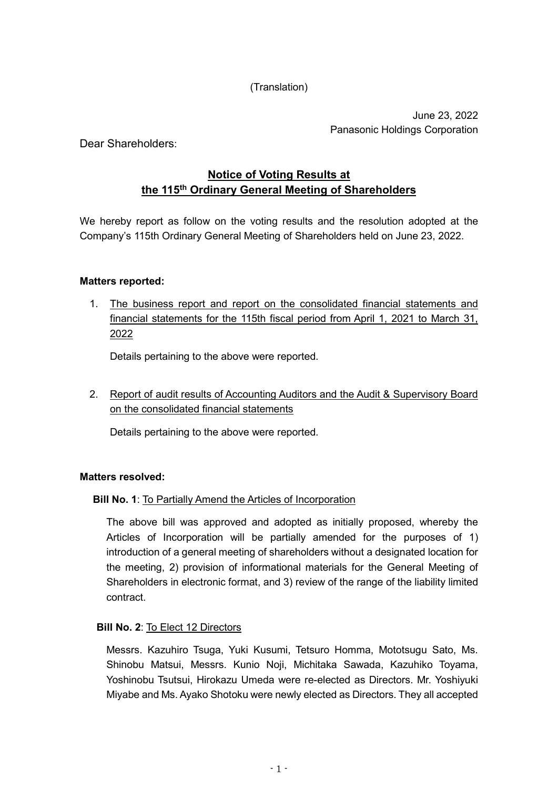(Translation)

June 23, 2022 Panasonic Holdings Corporation

Dear Shareholders:

# **Notice of Voting Results at the 115th Ordinary General Meeting of Shareholders**

We hereby report as follow on the voting results and the resolution adopted at the Company's 115th Ordinary General Meeting of Shareholders held on June 23, 2022.

### **Matters reported:**

1. The business report and report on the consolidated financial statements and financial statements for the 115th fiscal period from April 1, 2021 to March 31, 2022

Details pertaining to the above were reported.

2. Report of audit results of Accounting Auditors and the Audit & Supervisory Board on the consolidated financial statements

Details pertaining to the above were reported.

#### **Matters resolved:**

#### **Bill No. 1**: To Partially Amend the Articles of Incorporation

The above bill was approved and adopted as initially proposed, whereby the Articles of Incorporation will be partially amended for the purposes of 1) introduction of a general meeting of shareholders without a designated location for the meeting, 2) provision of informational materials for the General Meeting of Shareholders in electronic format, and 3) review of the range of the liability limited contract.

## **Bill No. 2**: To Elect 12 Directors

Messrs. Kazuhiro Tsuga, Yuki Kusumi, Tetsuro Homma, Mototsugu Sato, Ms. Shinobu Matsui, Messrs. Kunio Noji, Michitaka Sawada, Kazuhiko Toyama, Yoshinobu Tsutsui, Hirokazu Umeda were re-elected as Directors. Mr. Yoshiyuki Miyabe and Ms. Ayako Shotoku were newly elected as Directors. They all accepted